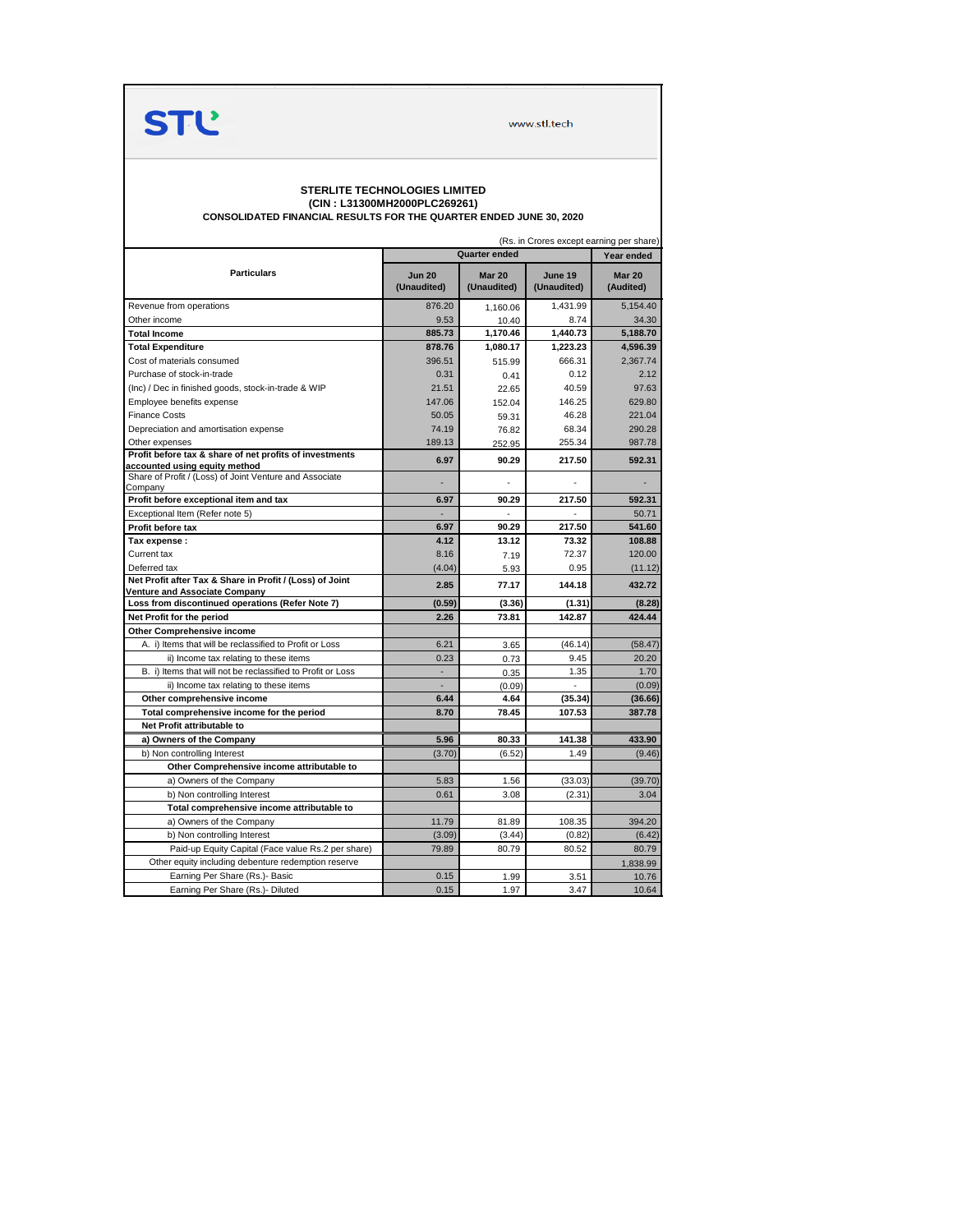

www.stl.tech

## **STERLITE TECHNOLOGIES LIMITED (CIN : L31300MH2000PLC269261)**

**CONSOLIDATED FINANCIAL RESULTS FOR THE QUARTER ENDED JUNE 30, 2020**

|                                                                                          | (Rs. in Crores except earning per share)<br><b>Quarter ended</b> |                              |                        |                            |  |  |
|------------------------------------------------------------------------------------------|------------------------------------------------------------------|------------------------------|------------------------|----------------------------|--|--|
|                                                                                          |                                                                  | Year ended                   |                        |                            |  |  |
| <b>Particulars</b>                                                                       | <b>Jun 20</b><br>(Unaudited)                                     | <b>Mar 20</b><br>(Unaudited) | June 19<br>(Unaudited) | <b>Mar 20</b><br>(Audited) |  |  |
| Revenue from operations                                                                  | 876.20                                                           | 1.160.06                     | 1,431.99               | 5,154.40                   |  |  |
| Other income                                                                             | 9.53                                                             | 10.40                        | 8.74                   | 34.30                      |  |  |
| <b>Total Income</b>                                                                      | 885.73                                                           | 1,170.46                     | 1,440.73               | 5,188.70                   |  |  |
| <b>Total Expenditure</b>                                                                 | 878.76                                                           | 1,080.17                     | 1,223.23               | 4,596.39                   |  |  |
| Cost of materials consumed                                                               | 396.51                                                           | 515.99                       | 666.31                 | 2,367.74                   |  |  |
| Purchase of stock-in-trade                                                               | 0.31                                                             | 0.41                         | 0.12                   | 2.12                       |  |  |
| (Inc) / Dec in finished goods, stock-in-trade & WIP                                      | 21.51                                                            | 22.65                        | 40.59                  | 97.63                      |  |  |
| Employee benefits expense                                                                | 147.06                                                           | 152.04                       | 146.25                 | 629.80                     |  |  |
| <b>Finance Costs</b>                                                                     | 50.05                                                            | 59.31                        | 46.28                  | 221.04                     |  |  |
| Depreciation and amortisation expense                                                    | 74.19                                                            | 76.82                        | 68.34                  | 290.28                     |  |  |
| Other expenses                                                                           | 189.13                                                           | 252.95                       | 255.34                 | 987.78                     |  |  |
| Profit before tax & share of net profits of investments                                  | 6.97                                                             | 90.29                        | 217.50                 | 592.31                     |  |  |
| accounted using equity method<br>Share of Profit / (Loss) of Joint Venture and Associate |                                                                  |                              |                        |                            |  |  |
| Company                                                                                  | 6.97                                                             | 90.29                        | 217.50                 | 592.31                     |  |  |
| Profit before exceptional item and tax<br>Exceptional Item (Refer note 5)                |                                                                  |                              |                        | 50.71                      |  |  |
|                                                                                          | 6.97                                                             | 90.29                        | 217.50                 | 541.60                     |  |  |
| Profit before tax<br>Tax expense :                                                       | 4.12                                                             | 13.12                        | 73.32                  | 108.88                     |  |  |
| Current tax                                                                              | 8.16                                                             |                              | 72.37                  | 120.00                     |  |  |
| Deferred tax                                                                             | (4.04)                                                           | 7.19                         | 0.95                   | (11.12)                    |  |  |
| Net Profit after Tax & Share in Profit / (Loss) of Joint                                 |                                                                  | 5.93                         |                        |                            |  |  |
| <b>Venture and Associate Company</b>                                                     | 2.85                                                             | 77.17                        | 144.18                 | 432.72                     |  |  |
| Loss from discontinued operations (Refer Note 7)                                         | (0.59)                                                           | (3.36)                       | (1.31)                 | (8.28)                     |  |  |
| Net Profit for the period                                                                | 2.26                                                             | 73.81                        | 142.87                 | 424.44                     |  |  |
| Other Comprehensive income                                                               |                                                                  |                              |                        |                            |  |  |
| A. i) Items that will be reclassified to Profit or Loss                                  | 6.21                                                             | 3.65                         | (46.14)                | (58.47)                    |  |  |
| ii) Income tax relating to these items                                                   | 0.23                                                             | 0.73                         | 9.45                   | 20.20                      |  |  |
| B. i) Items that will not be reclassified to Profit or Loss                              | ä,                                                               | 0.35                         | 1.35                   | 1.70                       |  |  |
| ii) Income tax relating to these items                                                   | ä,                                                               | (0.09)                       | $\overline{a}$         | (0.09)                     |  |  |
| Other comprehensive income                                                               | 6.44                                                             | 4.64                         | (35.34)                | (36.66)                    |  |  |
| Total comprehensive income for the period                                                | 8.70                                                             | 78.45                        | 107.53                 | 387.78                     |  |  |
| Net Profit attributable to                                                               |                                                                  |                              |                        |                            |  |  |
| a) Owners of the Company                                                                 | 5.96                                                             | 80.33                        | 141.38                 | 433.90                     |  |  |
| b) Non controlling Interest                                                              | (3.70)                                                           | (6.52)                       | 1.49                   | (9.46)                     |  |  |
| Other Comprehensive income attributable to                                               |                                                                  |                              |                        |                            |  |  |
| a) Owners of the Company                                                                 | 5.83                                                             | 1.56                         | (33.03)                | (39.70)                    |  |  |
| b) Non controlling Interest                                                              | 0.61                                                             | 3.08                         | (2.31)                 | 3.04                       |  |  |
| Total comprehensive income attributable to                                               |                                                                  |                              |                        |                            |  |  |
| a) Owners of the Company                                                                 | 11.79                                                            | 81.89                        | 108.35                 | 394.20                     |  |  |
| b) Non controlling Interest                                                              | (3.09)                                                           | (3.44)                       | (0.82)                 | (6.42)                     |  |  |
| Paid-up Equity Capital (Face value Rs.2 per share)                                       | 79.89                                                            | 80.79                        | 80.52                  | 80.79                      |  |  |
| Other equity including debenture redemption reserve                                      |                                                                  |                              |                        | 1,838.99                   |  |  |
| Earning Per Share (Rs.)- Basic                                                           | 0.15                                                             | 1.99                         | 3.51                   | 10.76                      |  |  |
| Earning Per Share (Rs.)- Diluted                                                         | 0.15                                                             | 1.97                         | 3.47                   | 10.64                      |  |  |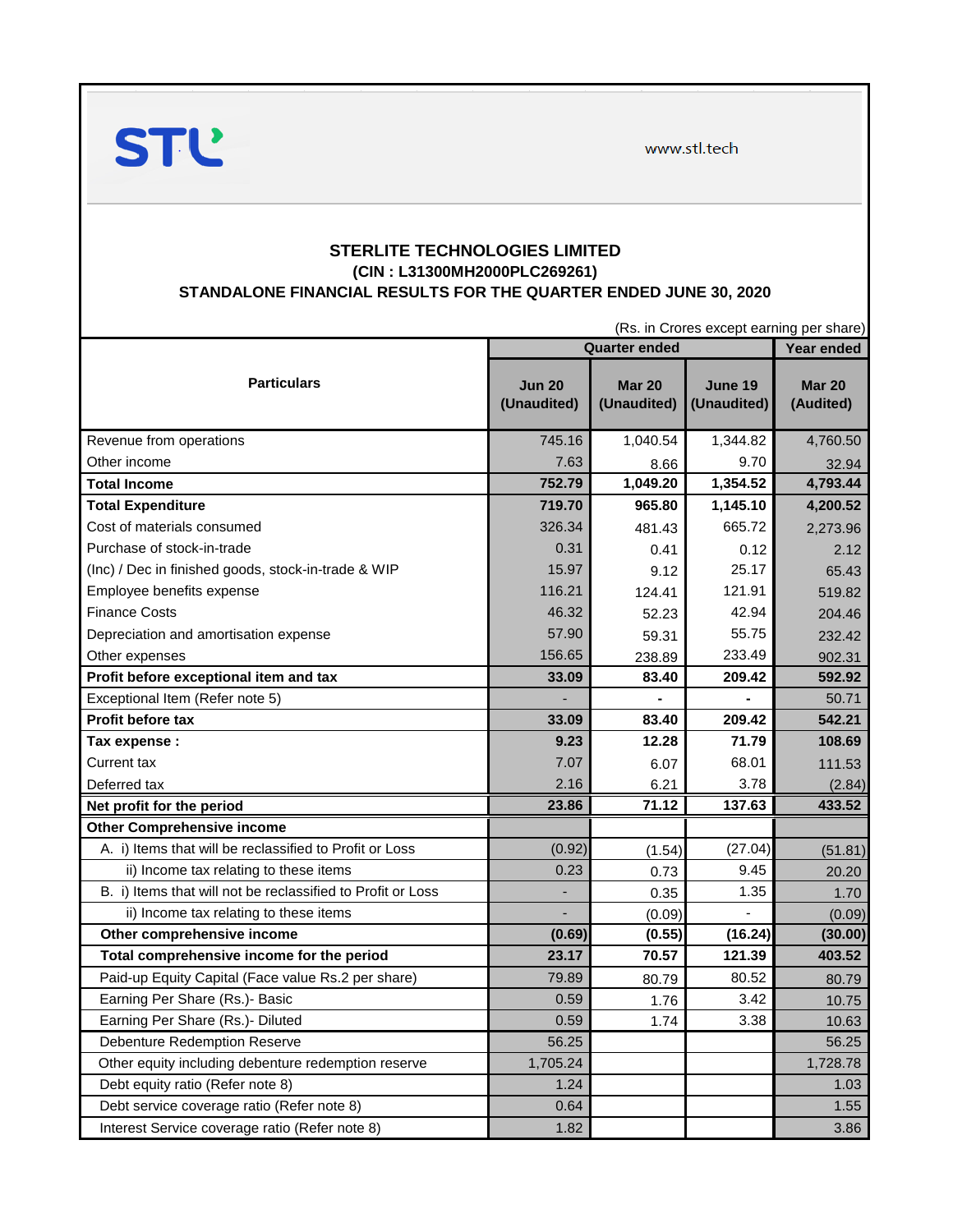www.stl.tech



## **STERLITE TECHNOLOGIES LIMITED (CIN : L31300MH2000PLC269261) STANDALONE FINANCIAL RESULTS FOR THE QUARTER ENDED JUNE 30, 2020**

|                                                             |                              | (Rs. in Crores except earning per share) |                        |                            |  |
|-------------------------------------------------------------|------------------------------|------------------------------------------|------------------------|----------------------------|--|
|                                                             | <b>Quarter ended</b>         |                                          |                        | Year ended                 |  |
| <b>Particulars</b>                                          | <b>Jun 20</b><br>(Unaudited) | <b>Mar 20</b><br>(Unaudited)             | June 19<br>(Unaudited) | <b>Mar 20</b><br>(Audited) |  |
| Revenue from operations                                     | 745.16                       | 1,040.54                                 | 1,344.82               | 4,760.50                   |  |
| Other income                                                | 7.63                         | 8.66                                     | 9.70                   | 32.94                      |  |
| Total Income                                                | 752.79                       | 1,049.20                                 | 1,354.52               | 4,793.44                   |  |
| <b>Total Expenditure</b>                                    | 719.70                       | 965.80                                   | 1,145.10               | 4,200.52                   |  |
| Cost of materials consumed                                  | 326.34                       | 481.43                                   | 665.72                 | 2,273.96                   |  |
| Purchase of stock-in-trade                                  | 0.31                         | 0.41                                     | 0.12                   | 2.12                       |  |
| (Inc) / Dec in finished goods, stock-in-trade & WIP         | 15.97                        | 9.12                                     | 25.17                  | 65.43                      |  |
| Employee benefits expense                                   | 116.21                       | 124.41                                   | 121.91                 | 519.82                     |  |
| <b>Finance Costs</b>                                        | 46.32                        | 52.23                                    | 42.94                  | 204.46                     |  |
| Depreciation and amortisation expense                       | 57.90                        | 59.31                                    | 55.75                  | 232.42                     |  |
| Other expenses                                              | 156.65                       | 238.89                                   | 233.49                 | 902.31                     |  |
| Profit before exceptional item and tax                      | 33.09                        | 83.40                                    | 209.42                 | 592.92                     |  |
| Exceptional Item (Refer note 5)                             |                              |                                          |                        | 50.71                      |  |
| Profit before tax                                           | 33.09                        | 83.40                                    | 209.42                 | 542.21                     |  |
| Tax expense :                                               | 9.23                         | 12.28                                    | 71.79                  | 108.69                     |  |
| Current tax                                                 | 7.07                         | 6.07                                     | 68.01                  | 111.53                     |  |
| Deferred tax                                                | 2.16                         | 6.21                                     | 3.78                   | (2.84)                     |  |
| Net profit for the period                                   | 23.86                        | 71.12                                    | 137.63                 | 433.52                     |  |
| <b>Other Comprehensive income</b>                           |                              |                                          |                        |                            |  |
| A. i) Items that will be reclassified to Profit or Loss     | (0.92)                       | (1.54)                                   | (27.04)                | (51.81)                    |  |
| ii) Income tax relating to these items                      | 0.23                         | 0.73                                     | 9.45                   | 20.20                      |  |
| B. i) Items that will not be reclassified to Profit or Loss |                              | 0.35                                     | 1.35                   | 1.70                       |  |
| ii) Income tax relating to these items                      |                              | (0.09)                                   |                        | (0.09)                     |  |
| Other comprehensive income                                  | (0.69)                       | (0.55)                                   | (16.24)                | (30.00)                    |  |
| Total comprehensive income for the period                   | 23.17                        | 70.57                                    | 121.39                 | 403.52                     |  |
| Paid-up Equity Capital (Face value Rs.2 per share)          | 79.89                        | 80.79                                    | 80.52                  | 80.79                      |  |
| Earning Per Share (Rs.)- Basic                              | 0.59                         | 1.76                                     | 3.42                   | 10.75                      |  |
| Earning Per Share (Rs.)- Diluted                            | 0.59                         | 1.74                                     | 3.38                   | 10.63                      |  |
| <b>Debenture Redemption Reserve</b>                         | 56.25                        |                                          |                        | 56.25                      |  |
| Other equity including debenture redemption reserve         | 1,705.24                     |                                          |                        | 1,728.78                   |  |
| Debt equity ratio (Refer note 8)                            | 1.24                         |                                          |                        | 1.03                       |  |
| Debt service coverage ratio (Refer note 8)                  | 0.64                         |                                          |                        | 1.55                       |  |
| Interest Service coverage ratio (Refer note 8)              | 1.82                         |                                          |                        | 3.86                       |  |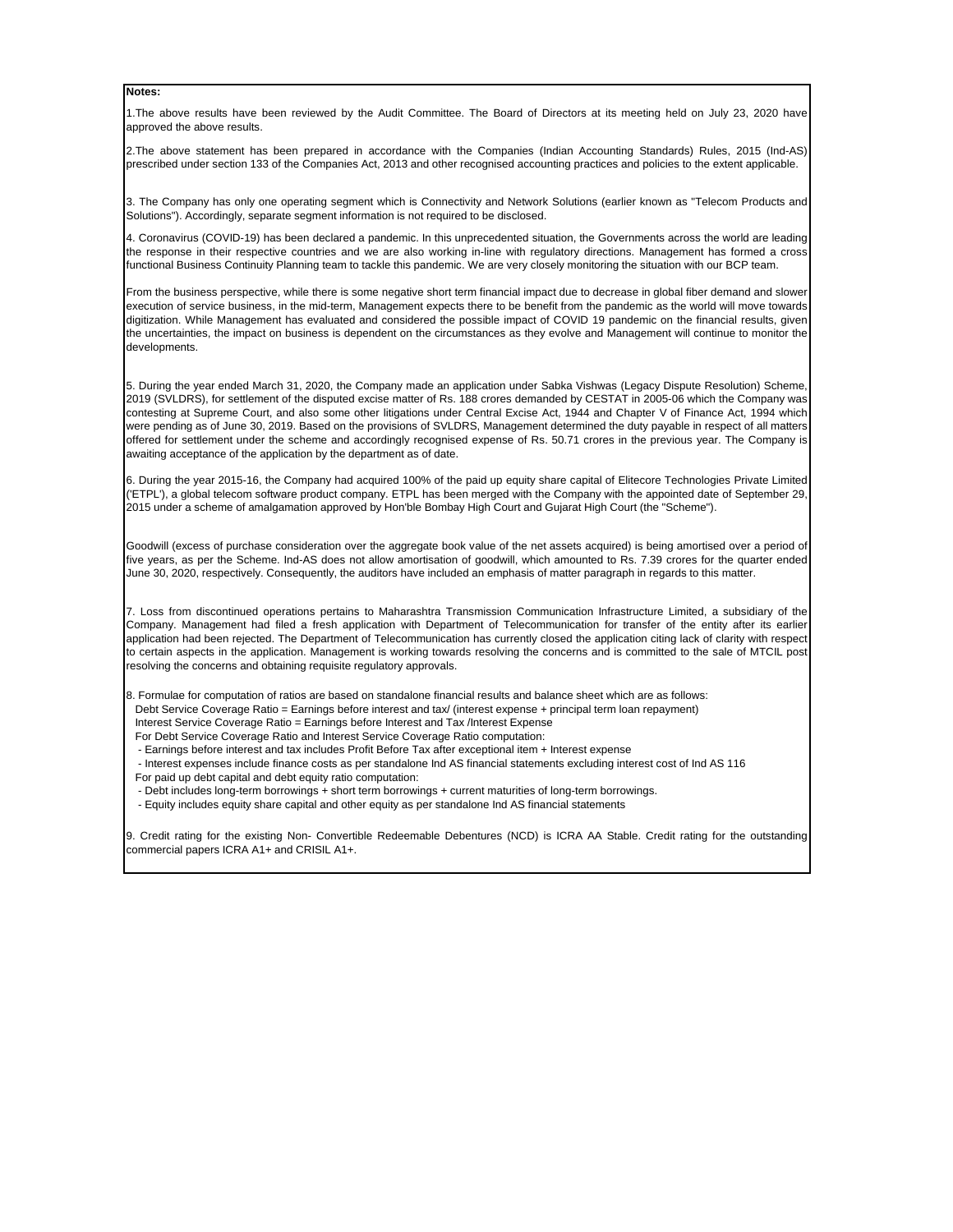## **Notes:**

1.The above results have been reviewed by the Audit Committee. The Board of Directors at its meeting held on July 23, 2020 have approved the above results.

2.The above statement has been prepared in accordance with the Companies (Indian Accounting Standards) Rules, 2015 (Ind-AS) prescribed under section 133 of the Companies Act, 2013 and other recognised accounting practices and policies to the extent applicable.

3. The Company has only one operating segment which is Connectivity and Network Solutions (earlier known as "Telecom Products and Solutions"). Accordingly, separate segment information is not required to be disclosed.

4. Coronavirus (COVID-19) has been declared a pandemic. In this unprecedented situation, the Governments across the world are leading the response in their respective countries and we are also working in-line with regulatory directions. Management has formed a cross functional Business Continuity Planning team to tackle this pandemic. We are very closely monitoring the situation with our BCP team.

From the business perspective, while there is some negative short term financial impact due to decrease in global fiber demand and slower execution of service business, in the mid-term, Management expects there to be benefit from the pandemic as the world will move towards digitization. While Management has evaluated and considered the possible impact of COVID 19 pandemic on the financial results, given the uncertainties, the impact on business is dependent on the circumstances as they evolve and Management will continue to monitor the developments.

5. During the year ended March 31, 2020, the Company made an application under Sabka Vishwas (Legacy Dispute Resolution) Scheme, 2019 (SVLDRS), for settlement of the disputed excise matter of Rs. 188 crores demanded by CESTAT in 2005-06 which the Company was contesting at Supreme Court, and also some other litigations under Central Excise Act, 1944 and Chapter V of Finance Act, 1994 which were pending as of June 30, 2019. Based on the provisions of SVLDRS, Management determined the duty payable in respect of all matters offered for settlement under the scheme and accordingly recognised expense of Rs. 50.71 crores in the previous year. The Company is awaiting acceptance of the application by the department as of date.

6. During the year 2015-16, the Company had acquired 100% of the paid up equity share capital of Elitecore Technologies Private Limited ('ETPL'), a global telecom software product company. ETPL has been merged with the Company with the appointed date of September 29, 2015 under a scheme of amalgamation approved by Hon'ble Bombay High Court and Gujarat High Court (the "Scheme").

Goodwill (excess of purchase consideration over the aggregate book value of the net assets acquired) is being amortised over a period of five years, as per the Scheme. Ind-AS does not allow amortisation of goodwill, which amounted to Rs. 7.39 crores for the quarter ended June 30, 2020, respectively. Consequently, the auditors have included an emphasis of matter paragraph in regards to this matter.

7. Loss from discontinued operations pertains to Maharashtra Transmission Communication Infrastructure Limited, a subsidiary of the Company. Management had filed a fresh application with Department of Telecommunication for transfer of the entity after its earlier application had been rejected. The Department of Telecommunication has currently closed the application citing lack of clarity with respect to certain aspects in the application. Management is working towards resolving the concerns and is committed to the sale of MTCIL post resolving the concerns and obtaining requisite regulatory approvals.

8. Formulae for computation of ratios are based on standalone financial results and balance sheet which are as follows:

Debt Service Coverage Ratio = Earnings before interest and tax/ (interest expense + principal term loan repayment)

Interest Service Coverage Ratio = Earnings before Interest and Tax /Interest Expense

For Debt Service Coverage Ratio and Interest Service Coverage Ratio computation:

- Earnings before interest and tax includes Profit Before Tax after exceptional item + Interest expense
- Interest expenses include finance costs as per standalone Ind AS financial statements excluding interest cost of Ind AS 116
- For paid up debt capital and debt equity ratio computation:
- Debt includes long-term borrowings + short term borrowings + current maturities of long-term borrowings.
- Equity includes equity share capital and other equity as per standalone Ind AS financial statements

9. Credit rating for the existing Non- Convertible Redeemable Debentures (NCD) is ICRA AA Stable. Credit rating for the outstanding commercial papers ICRA A1+ and CRISIL A1+.